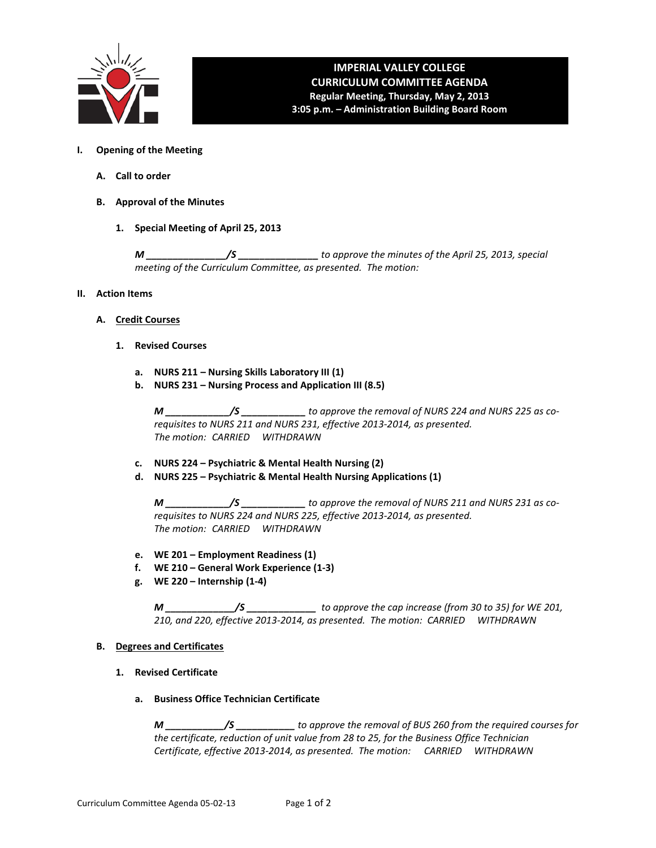

# **IMPERIAL VALLEY COLLEGE CURRICULUM COMMITTEE AGENDA Regular Meeting, Thursday, May 2, 2013**

**3:05 p.m. – Administration Building Board Room**

- **I. Opening of the Meeting**
	- **A. Call to order**
	- **B. Approval of the Minutes**
		- **1. Special Meeting of April 25, 2013**

*M \_\_\_\_\_\_\_\_\_\_\_\_\_\_\_/S \_\_\_\_\_\_\_\_\_\_\_\_\_\_\_ to approve the minutes of the April 25, 2013, special meeting of the Curriculum Committee, as presented. The motion:* 

#### **II. Action Items**

- **A. Credit Courses**
	- **1. Revised Courses**
		- **a. NURS 211 – Nursing Skills Laboratory III (1)**
		- **b. NURS 231 – Nursing Process and Application III (8.5)**

*M \_\_\_\_\_\_\_\_\_\_\_\_/S \_\_\_\_\_\_\_\_\_\_\_\_ to approve the removal of NURS 224 and NURS 225 as corequisites to NURS 211 and NURS 231, effective 2013-2014, as presented. The motion: CARRIED WITHDRAWN*

- **c. NURS 224 – Psychiatric & Mental Health Nursing (2)**
- **d. NURS 225 – Psychiatric & Mental Health Nursing Applications (1)**

*M \_\_\_\_\_\_\_\_\_\_\_\_/S \_\_\_\_\_\_\_\_\_\_\_\_ to approve the removal of NURS 211 and NURS 231 as corequisites to NURS 224 and NURS 225, effective 2013-2014, as presented. The motion: CARRIED WITHDRAWN*

- **e. WE 201 – Employment Readiness (1)**
- **f. WE 210 – General Work Experience (1-3)**
- **g. WE 220 – Internship (1-4)**

*M \_\_\_\_\_\_\_\_\_\_\_\_\_/S \_\_\_\_\_\_\_\_\_\_\_\_\_ to approve the cap increase (from 30 to 35) for WE 201, 210, and 220, effective 2013-2014, as presented. The motion: CARRIED WITHDRAWN*

## **B. Degrees and Certificates**

- **1. Revised Certificate**
	- **a. Business Office Technician Certificate**

*M \_\_\_\_\_\_\_\_\_\_\_/S \_\_\_\_\_\_\_\_\_\_\_ to approve the removal of BUS 260 from the required courses for the certificate, reduction of unit value from 28 to 25, for the Business Office Technician Certificate, effective 2013-2014, as presented. The motion: CARRIED WITHDRAWN*